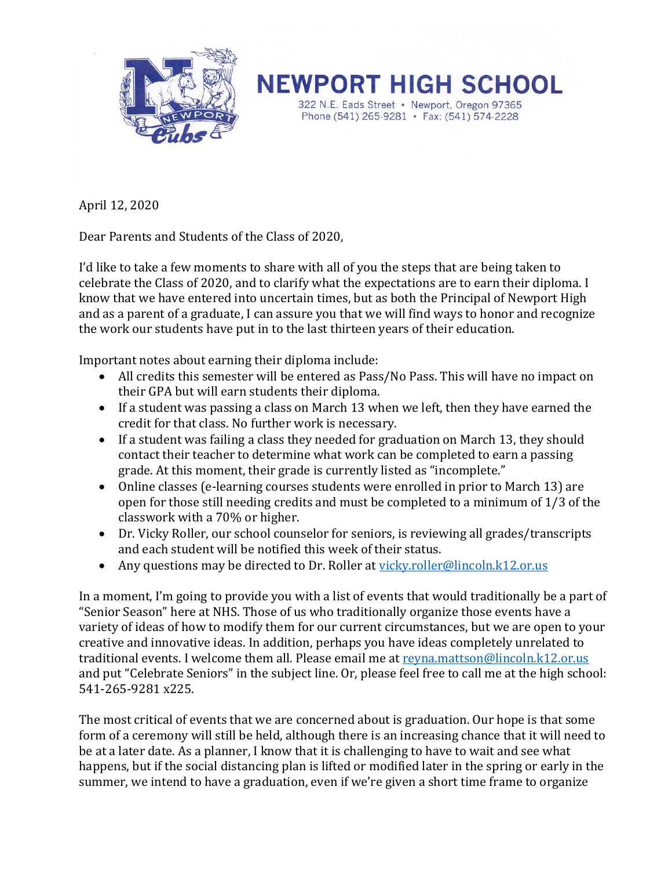

**NEWPORT HIGH SCHOOL** 322 N.E. Eads Street • Newport, Oregon 97365 Phone (541) 265-9281 • Fax: (541) 574-2228

April 12, 2020

Dear Parents and Students of the Class of 2020,

I'd like to take a few moments to share with all of you the steps that are being taken to celebrate the Class of 2020, and to clarify what the expectations are to earn their diploma. I know that we have entered into uncertain times, but as both the Principal of Newport High and as a parent of a graduate, I can assure you that we will find ways to honor and recognize the work our students have put in to the last thirteen years of their education.

Important notes about earning their diploma include:

- All credits this semester will be entered as Pass/No Pass. This will have no impact on their GPA but will earn students their diploma.
- If a student was passing a class on March 13 when we left, then they have earned the credit for that class. No further work is necessary.
- If a student was failing a class they needed for graduation on March 13, they should contact their teacher to determine what work can be completed to earn a passing grade. At this moment, their grade is currently listed as "incomplete."
- Online classes (e-learning courses students were enrolled in prior to March 13) are open for those still needing credits and must be completed to a minimum of 1/3 of the classwork with a 70% or higher.
- Dr. Vicky Roller, our school counselor for seniors, is reviewing all grades/transcripts and each student will be notified this week of their status.
- Any questions may be directed to Dr. Roller at [vicky.roller@lincoln.k12.or.us](mailto:vicky.roller@lincoln.k12.or.us)

In a moment, I'm going to provide you with a list of events that would traditionally be a part of "Senior Season" here at NHS. Those of us who traditionally organize those events have a variety of ideas of how to modify them for our current circumstances, but we are open to your creative and innovative ideas. In addition, perhaps you have ideas completely unrelated to traditional events. I welcome them all. Please email me at [reyna.mattson@lincoln.k12.or.us](mailto:reyna.mattson@lincoln.k12.or.us) and put "Celebrate Seniors" in the subject line. Or, please feel free to call me at the high school: 541-265-9281 x225.

The most critical of events that we are concerned about is graduation. Our hope is that some form of a ceremony will still be held, although there is an increasing chance that it will need to be at a later date. As a planner, I know that it is challenging to have to wait and see what happens, but if the social distancing plan is lifted or modified later in the spring or early in the summer, we intend to have a graduation, even if we're given a short time frame to organize